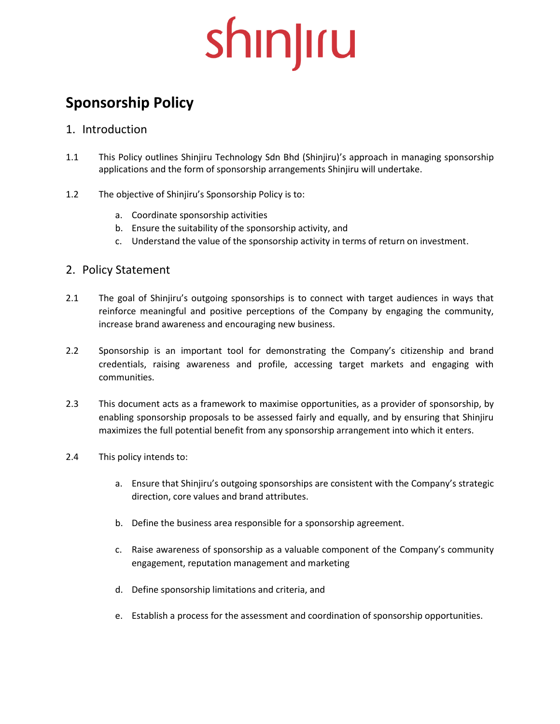## **Sponsorship Policy**

### 1. Introduction

- 1.1 This Policy outlines Shinjiru Technology Sdn Bhd (Shinjiru)'s approach in managing sponsorship applications and the form of sponsorship arrangements Shinjiru will undertake.
- 1.2 The objective of Shinjiru's Sponsorship Policy is to:
	- a. Coordinate sponsorship activities
	- b. Ensure the suitability of the sponsorship activity, and
	- c. Understand the value of the sponsorship activity in terms of return on investment.

### 2. Policy Statement

- 2.1 The goal of Shinjiru's outgoing sponsorships is to connect with target audiences in ways that reinforce meaningful and positive perceptions of the Company by engaging the community, increase brand awareness and encouraging new business.
- 2.2 Sponsorship is an important tool for demonstrating the Company's citizenship and brand credentials, raising awareness and profile, accessing target markets and engaging with communities.
- 2.3 This document acts as a framework to maximise opportunities, as a provider of sponsorship, by enabling sponsorship proposals to be assessed fairly and equally, and by ensuring that Shinjiru maximizes the full potential benefit from any sponsorship arrangement into which it enters.
- 2.4 This policy intends to:
	- a. Ensure that Shinjiru's outgoing sponsorships are consistent with the Company's strategic direction, core values and brand attributes.
	- b. Define the business area responsible for a sponsorship agreement.
	- c. Raise awareness of sponsorship as a valuable component of the Company's community engagement, reputation management and marketing
	- d. Define sponsorship limitations and criteria, and
	- e. Establish a process for the assessment and coordination of sponsorship opportunities.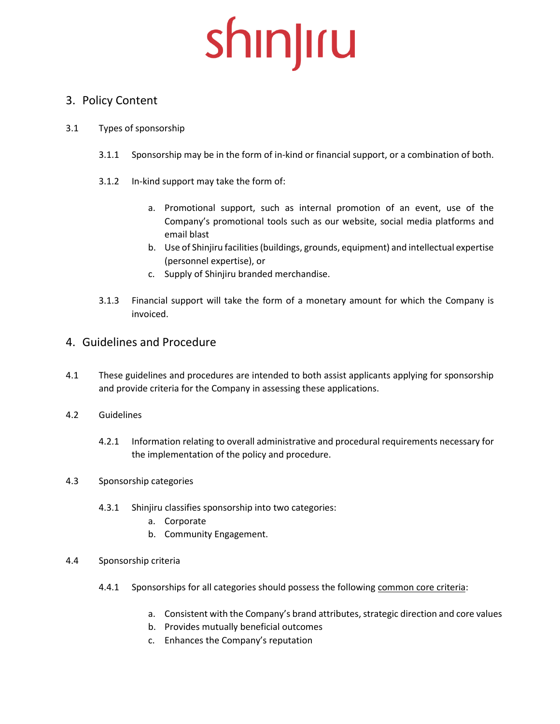### 3. Policy Content

#### 3.1 Types of sponsorship

- 3.1.1 Sponsorship may be in the form of in-kind or financial support, or a combination of both.
- 3.1.2 In-kind support may take the form of:
	- a. Promotional support, such as internal promotion of an event, use of the Company's promotional tools such as our website, social media platforms and email blast
	- b. Use of Shinjiru facilities (buildings, grounds, equipment) and intellectual expertise (personnel expertise), or
	- c. Supply of Shinjiru branded merchandise.
- 3.1.3 Financial support will take the form of a monetary amount for which the Company is invoiced.

### 4. Guidelines and Procedure

- 4.1 These guidelines and procedures are intended to both assist applicants applying for sponsorship and provide criteria for the Company in assessing these applications.
- 4.2 Guidelines
	- 4.2.1 Information relating to overall administrative and procedural requirements necessary for the implementation of the policy and procedure.
- 4.3 Sponsorship categories
	- 4.3.1 Shinjiru classifies sponsorship into two categories:
		- a. Corporate
		- b. Community Engagement.
- 4.4 Sponsorship criteria
	- 4.4.1 Sponsorships for all categories should possess the following common core criteria:
		- a. Consistent with the Company's brand attributes, strategic direction and core values
		- b. Provides mutually beneficial outcomes
		- c. Enhances the Company's reputation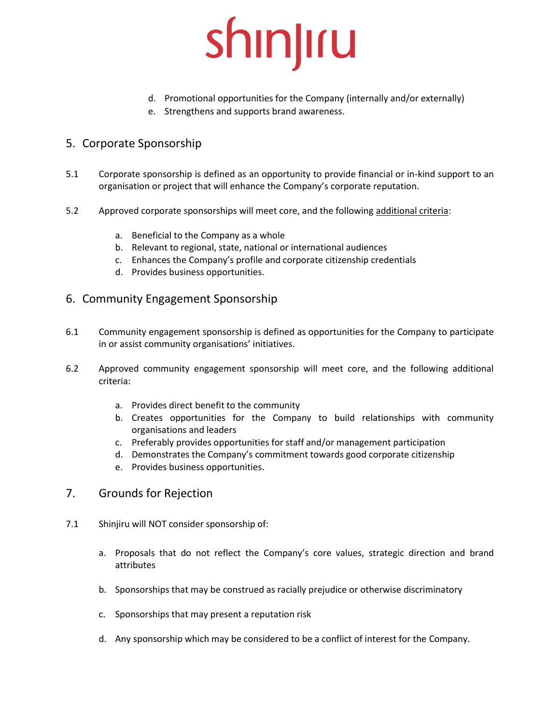- d. Promotional opportunities for the Company (internally and/or externally)
- e. Strengthens and supports brand awareness.

### 5. Corporate Sponsorship

- 5.1 Corporate sponsorship is defined as an opportunity to provide financial or in-kind support to an organisation or project that will enhance the Company's corporate reputation.
- 5.2 Approved corporate sponsorships will meet core, and the following additional criteria:
	- a. Beneficial to the Company as a whole
	- b. Relevant to regional, state, national or international audiences
	- c. Enhances the Company's profile and corporate citizenship credentials
	- d. Provides business opportunities.

#### 6. Community Engagement Sponsorship

- 6.1 Community engagement sponsorship is defined as opportunities for the Company to participate in or assist community organisations' initiatives.
- 6.2 Approved community engagement sponsorship will meet core, and the following additional criteria:
	- a. Provides direct benefit to the community
	- b. Creates opportunities for the Company to build relationships with community organisations and leaders
	- c. Preferably provides opportunities for staff and/or management participation
	- d. Demonstrates the Company's commitment towards good corporate citizenship
	- e. Provides business opportunities.
- 7. Grounds for Rejection
- 7.1 Shinjiru will NOT consider sponsorship of:
	- a. Proposals that do not reflect the Company's core values, strategic direction and brand attributes
	- b. Sponsorships that may be construed as racially prejudice or otherwise discriminatory
	- c. Sponsorships that may present a reputation risk
	- d. Any sponsorship which may be considered to be a conflict of interest for the Company.